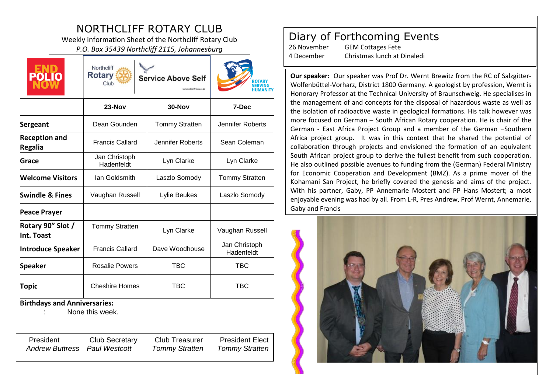## NORTHCLIFF ROTARY CLUB

Weekly information Sheet of the Northcliff Rotary Club *P.O. Box 35439 Northcliff 2115, Johannesburg*



Northcliff **Rotary** Club





|                                        | $23-Nov$                                      | $30-Nov$                                       | 7-Dec                                           |
|----------------------------------------|-----------------------------------------------|------------------------------------------------|-------------------------------------------------|
| Sergeant                               | Dean Gounden                                  | <b>Tommy Stratten</b>                          | Jennifer Roberts                                |
| <b>Reception and</b><br><b>Regalia</b> | <b>Francis Callard</b>                        | Jennifer Roberts                               | Sean Coleman                                    |
| Grace                                  | Jan Christoph<br>Hadenfeldt                   | Lyn Clarke                                     | Lyn Clarke                                      |
| <b>Welcome Visitors</b>                | Ian Goldsmith                                 | Laszlo Somody                                  | <b>Tommy Stratten</b>                           |
| <b>Swindle &amp; Fines</b>             | Vaughan Russell                               | Lylie Beukes                                   | Laszlo Somody                                   |
| <b>Peace Prayer</b>                    |                                               |                                                |                                                 |
| Rotary 90" Slot /<br>Int. Toast        | <b>Tommy Stratten</b>                         | Lyn Clarke                                     | Vaughan Russell                                 |
| <b>Introduce Speaker</b>               | <b>Francis Callard</b>                        | Dave Woodhouse                                 | Jan Christoph<br>Hadenfeldt                     |
| <b>Speaker</b>                         | <b>Rosalie Powers</b>                         | <b>TBC</b>                                     | <b>TBC</b>                                      |
| <b>Topic</b>                           | <b>Cheshire Homes</b>                         | <b>TBC</b>                                     | <b>TBC</b>                                      |
| <b>Birthdays and Anniversaries:</b>    | None this week.                               |                                                |                                                 |
| President<br><b>Andrew Buttress</b>    | <b>Club Secretary</b><br><b>Paul Westcott</b> | <b>Club Treasurer</b><br><b>Tommy Stratten</b> | <b>President Elect</b><br><b>Tommy Stratten</b> |
|                                        |                                               |                                                |                                                 |

## Diary of Forthcoming Events

26 November GEM Cottages Fete 4 December Christmas lunch at Dinaledi

**Our speaker:** Our speaker was Prof Dr. Wernt Brewitz from the RC of Salzgitter-Wolfenbüttel-Vorharz, District 1800 Germany. A geologist by profession, Wernt is Honorary Professor at the Technical University of Braunschweig. He specialises in the management of and concepts for the disposal of hazardous waste as well as the isolation of radioactive waste in geological formations. His talk however was more focused on German – South African Rotary cooperation. He is chair of the German - East Africa Project Group and a member of the German –Southern Africa project group. It was in this context that he shared the potential of collaboration through projects and envisioned the formation of an equivalent South African project group to derive the fullest benefit from such cooperation. He also outlined possible avenues to funding from the (German) Federal Ministry for Economic Cooperation and Development (BMZ). As a prime mover of the Kohamani San Project, he briefly covered the genesis and aims of the project. With his partner, Gaby, PP Annemarie Mostert and PP Hans Mostert; a most enjoyable evening was had by all. From L-R, Pres Andrew, Prof Wernt, Annemarie, Gaby and Francis